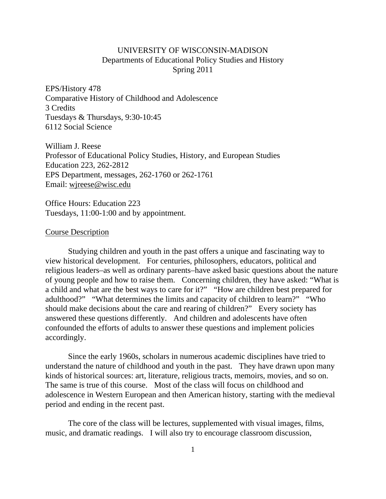## UNIVERSITY OF WISCONSIN-MADISON Departments of Educational Policy Studies and History Spring 2011

EPS/History 478 Comparative History of Childhood and Adolescence 3 Credits Tuesdays & Thursdays, 9:30-10:45 6112 Social Science

William J. Reese Professor of Educational Policy Studies, History, and European Studies Education 223, 262-2812 EPS Department, messages, 262-1760 or 262-1761 Email: wjreese@wisc.edu

Office Hours: Education 223 Tuesdays, 11:00-1:00 and by appointment.

## Course Description

 Studying children and youth in the past offers a unique and fascinating way to view historical development. For centuries, philosophers, educators, political and religious leaders–as well as ordinary parents–have asked basic questions about the nature of young people and how to raise them. Concerning children, they have asked: "What is a child and what are the best ways to care for it?" "How are children best prepared for adulthood?" "What determines the limits and capacity of children to learn?" "Who should make decisions about the care and rearing of children?" Every society has answered these questions differently. And children and adolescents have often confounded the efforts of adults to answer these questions and implement policies accordingly.

 Since the early 1960s, scholars in numerous academic disciplines have tried to understand the nature of childhood and youth in the past. They have drawn upon many kinds of historical sources: art, literature, religious tracts, memoirs, movies, and so on. The same is true of this course. Most of the class will focus on childhood and adolescence in Western European and then American history, starting with the medieval period and ending in the recent past.

 The core of the class will be lectures, supplemented with visual images, films, music, and dramatic readings. I will also try to encourage classroom discussion,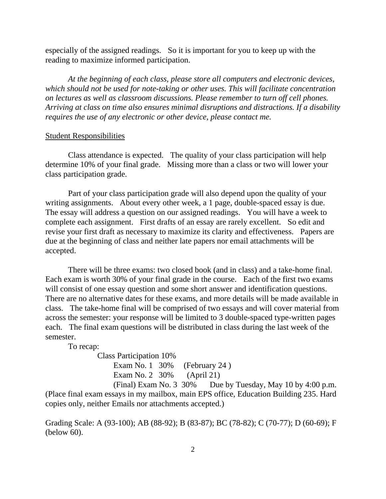especially of the assigned readings. So it is important for you to keep up with the reading to maximize informed participation.

*At the beginning of each class, please store all computers and electronic devices, which should not be used for note-taking or other uses. This will facilitate concentration on lectures as well as classroom discussions. Please remember to turn off cell phones. Arriving at class on time also ensures minimal disruptions and distractions. If a disability requires the use of any electronic or other device, please contact me.* 

## Student Responsibilities

 Class attendance is expected. The quality of your class participation will help determine 10% of your final grade. Missing more than a class or two will lower your class participation grade.

 Part of your class participation grade will also depend upon the quality of your writing assignments. About every other week, a 1 page, double-spaced essay is due. The essay will address a question on our assigned readings. You will have a week to complete each assignment. First drafts of an essay are rarely excellent. So edit and revise your first draft as necessary to maximize its clarity and effectiveness. Papers are due at the beginning of class and neither late papers nor email attachments will be accepted.

 There will be three exams: two closed book (and in class) and a take-home final. Each exam is worth 30% of your final grade in the course. Each of the first two exams will consist of one essay question and some short answer and identification questions. There are no alternative dates for these exams, and more details will be made available in class. The take-home final will be comprised of two essays and will cover material from across the semester: your response will be limited to 3 double-spaced type-written pages each. The final exam questions will be distributed in class during the last week of the semester.

To recap:

 Class Participation 10% Exam No. 1 30% (February 24) Exam No. 2 30% (April 21)

 (Final) Exam No. 3 30% Due by Tuesday, May 10 by 4:00 p.m. (Place final exam essays in my mailbox, main EPS office, Education Building 235. Hard copies only, neither Emails nor attachments accepted.)

Grading Scale: A (93-100); AB (88-92); B (83-87); BC (78-82); C (70-77); D (60-69); F (below 60).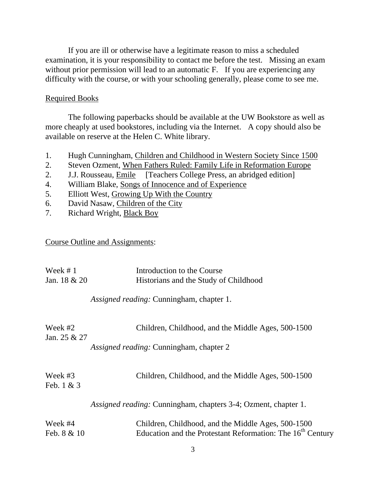If you are ill or otherwise have a legitimate reason to miss a scheduled examination, it is your responsibility to contact me before the test. Missing an exam without prior permission will lead to an automatic F. If you are experiencing any difficulty with the course, or with your schooling generally, please come to see me.

## Required Books

 The following paperbacks should be available at the UW Bookstore as well as more cheaply at used bookstores, including via the Internet. A copy should also be available on reserve at the Helen C. White library.

- 1. Hugh Cunningham, Children and Childhood in Western Society Since 1500
- 2. Steven Ozment, When Fathers Ruled: Family Life in Reformation Europe
- 2. J.J. Rousseau, Emile [Teachers College Press, an abridged edition]
- 4. William Blake, Songs of Innocence and of Experience
- 5. Elliott West, Growing Up With the Country
- 6. David Nasaw*,* Children of the City
- 7. Richard Wright, Black Boy

Course Outline and Assignments:

| Week $# 1$              | Introduction to the Course                                                                                                   |
|-------------------------|------------------------------------------------------------------------------------------------------------------------------|
| Jan. $18 & 20$          | Historians and the Study of Childhood                                                                                        |
|                         | Assigned reading: Cunningham, chapter 1.                                                                                     |
| Week #2<br>Jan. 25 & 27 | Children, Childhood, and the Middle Ages, 500-1500                                                                           |
|                         |                                                                                                                              |
|                         | Assigned reading: Cunningham, chapter 2                                                                                      |
| Week #3<br>Feb. $1 & 3$ | Children, Childhood, and the Middle Ages, 500-1500                                                                           |
|                         | Assigned reading: Cunningham, chapters 3-4; Ozment, chapter 1.                                                               |
| Week #4<br>Feb. 8 & 10  | Children, Childhood, and the Middle Ages, 500-1500<br>Education and the Protestant Reformation: The 16 <sup>th</sup> Century |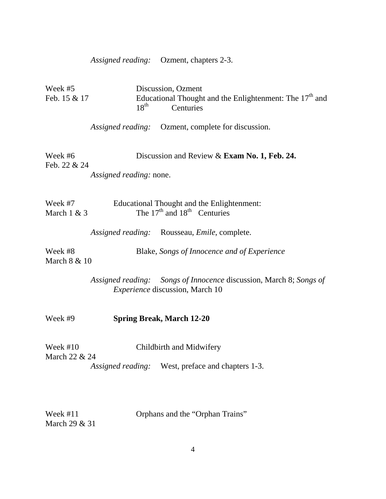*Assigned reading:* Ozment, chapters 2-3.

| Week #5<br>Feb. 15 & 17     | Discussion, Ozment<br>Educational Thought and the Enlightenment: The $17th$ and<br>$18^{\text{th}}$<br>Centuries |
|-----------------------------|------------------------------------------------------------------------------------------------------------------|
|                             | Assigned reading: Ozment, complete for discussion.                                                               |
| Week #6<br>Feb. 22 & 24     | Discussion and Review & Exam No. 1, Feb. 24.                                                                     |
|                             | Assigned reading: none.                                                                                          |
| Week #7<br>March $1 & 3$    | Educational Thought and the Enlightenment:<br>The $17th$ and $18th$ Centuries                                    |
|                             | Assigned reading: Rousseau, Emile, complete.                                                                     |
| Week #8<br>March 8 & 10     | Blake, Songs of Innocence and of Experience                                                                      |
|                             | Assigned reading: Songs of Innocence discussion, March 8; Songs of<br><i>Experience</i> discussion, March 10     |
| Week #9                     | <b>Spring Break, March 12-20</b>                                                                                 |
| Week $#10$<br>March 22 & 24 | Childbirth and Midwifery                                                                                         |
|                             | Assigned reading: West, preface and chapters 1-3.                                                                |
| Week $#11$                  | Orphans and the "Orphan Trains"                                                                                  |

March 29 & 31